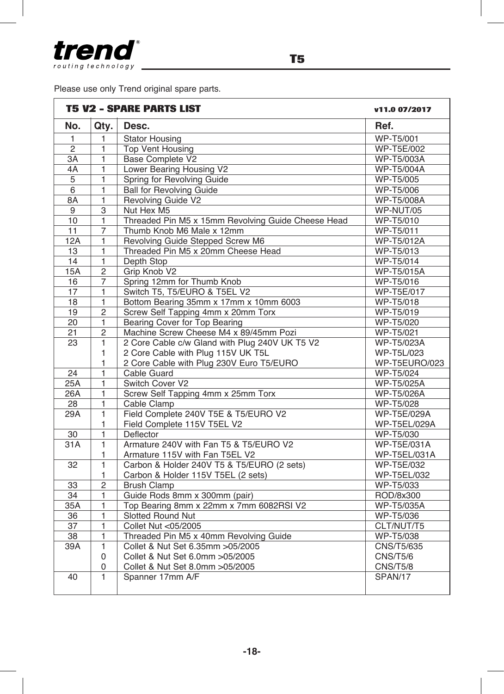

r

Please use only Trend original spare parts.

|                 | <b>T5 V2 - SPARE PARTS LIST</b> |                                                    |                    |
|-----------------|---------------------------------|----------------------------------------------------|--------------------|
| No.             | Qty.                            | Desc.                                              | Ref.               |
| $\mathbf{1}$    | 1                               | <b>Stator Housing</b>                              | WP-T5/001          |
| $\overline{2}$  | 1                               | <b>Top Vent Housing</b>                            | <b>WP-T5E/002</b>  |
| $\overline{3A}$ | 1                               | <b>Base Complete V2</b>                            | <b>WP-T5/003A</b>  |
| 4A              | 1                               | Lower Bearing Housing V2                           | <b>WP-T5/004A</b>  |
| $\overline{5}$  | $\blacksquare$                  | Spring for Revolving Guide                         | WP-T5/005          |
| $\overline{6}$  | $\blacksquare$                  | <b>Ball for Revolving Guide</b>                    | <b>WP-T5/006</b>   |
| 8A              | $\overline{1}$                  | Revolving Guide V2                                 | <b>WP-T5/008A</b>  |
| 9               | $\overline{3}$                  | Nut Hex M5                                         | WP-NUT/05          |
| 10              | 1                               | Threaded Pin M5 x 15mm Revolving Guide Cheese Head | WP-T5/010          |
| $\overline{11}$ | 7                               | Thumb Knob M6 Male x 12mm                          | WP-T5/011          |
| 12A             | 1                               | Revolving Guide Stepped Screw M6                   | WP-T5/012A         |
| 13              | $\overline{1}$                  | Threaded Pin M5 x 20mm Cheese Head                 | WP-T5/013          |
| 14              | 1                               | Depth Stop                                         | WP-T5/014          |
| <b>15A</b>      | $\overline{2}$                  | Grip Knob V2                                       | <b>WP-T5/015A</b>  |
| 16              | $\overline{7}$                  | Spring 12mm for Thumb Knob                         | WP-T5/016          |
| $\overline{17}$ | 1                               | Switch T5, T5/EURO & T5EL V2                       | <b>WP-T5E/017</b>  |
| 18              | $\blacksquare$                  | Bottom Bearing 35mm x 17mm x 10mm 6003             | WP-T5/018          |
| 19              | $\overline{c}$                  | Screw Self Tapping 4mm x 20mm Torx                 | WP-T5/019          |
| $\overline{20}$ | 1                               | Bearing Cover for Top Bearing                      | WP-T5/020          |
| 21              | 2                               | Machine Screw Cheese M4 x 89/45mm Pozi             | WP-T5/021          |
| 23              | $\overline{1}$                  | 2 Core Cable c/w Gland with Plug 240V UK T5 V2     | <b>WP-T5/023A</b>  |
|                 | 1                               | 2 Core Cable with Plug 115V UK T5L                 | WP-T5L/023         |
|                 | 1                               | 2 Core Cable with Plug 230V Euro T5/EURO           | WP-T5EURO/023      |
| $\overline{24}$ | $\blacksquare$                  | Cable Guard                                        | WP-T5/024          |
| 25A             | $\blacksquare$                  | Switch Cover V2                                    | <b>WP-T5/025A</b>  |
| 26A             | 1                               | Screw Self Tapping 4mm x 25mm Torx                 | <b>WP-T5/026A</b>  |
| 28              | 1                               | Cable Clamp                                        | WP-T5/028          |
| 29A             | 1                               | Field Complete 240V T5E & T5/EURO V2               | WP-T5E/029A        |
|                 | 1                               | Field Complete 115V T5EL V2                        | WP-T5EL/029A       |
| 30              | $\blacksquare$                  | Deflector                                          | WP-T5/030          |
| 31A             | $\overline{1}$                  | Armature 240V with Fan T5 & T5/EURO V2             | WP-T5E/031A        |
|                 | 1                               | Armature 115V with Fan T5EL V2                     | WP-T5EL/031A       |
| 32              | $\mathbf{1}$                    | Carbon & Holder 240V T5 & T5/EURO (2 sets)         | WP-T5E/032         |
|                 | 1                               | Carbon & Holder 115V T5EL (2 sets)                 | <b>WP-T5EL/032</b> |
| 33              | $\overline{c}$                  | <b>Brush Clamp</b>                                 | WP-T5/033          |
| 34              | $\blacksquare$                  | Guide Rods 8mm x 300mm (pair)                      | ROD/8x300          |
| 35A             | 1                               | Top Bearing 8mm x 22mm x 7mm 6082RSI V2            | WP-T5/035A         |
| $\overline{36}$ | 1                               | Slotted Round Nut                                  | WP-T5/036          |
| 37              | 1                               | Collet Nut <05/2005                                | CLT/NUT/T5         |
| $\overline{38}$ | 1                               | Threaded Pin M5 x 40mm Revolving Guide             | WP-T5/038          |
| 39A             | $\overline{1}$                  | Collet & Nut Set 6.35mm > 05/2005                  | <b>CNS/T5/635</b>  |
|                 | 0                               | Collet & Nut Set 6.0mm > 05/2005                   | CNS/T5/6           |
|                 | $\Omega$                        | Collet & Nut Set 8.0mm > 05/2005                   | CNS/T5/8           |
| 40              | 1                               | Spanner 17mm A/F                                   | SPAN/17            |
|                 |                                 |                                                    |                    |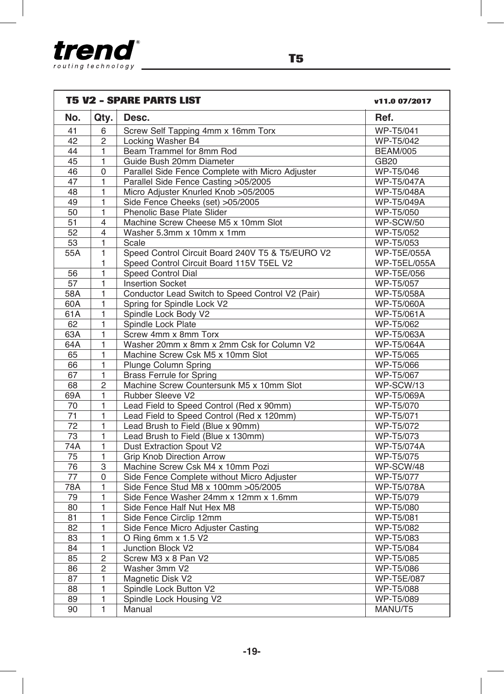

| <b>T5 V2 - SPARE PARTS LIST</b> |                         |                                                  | v11.0 07/2017       |
|---------------------------------|-------------------------|--------------------------------------------------|---------------------|
| No.                             | Qty.                    | Desc.                                            | Ref.                |
| 41                              | 6                       | Screw Self Tapping 4mm x 16mm Torx               | WP-T5/041           |
| 42                              | $\overline{2}$          | Locking Washer B4                                | <b>WP-T5/042</b>    |
| 44                              | 1                       | Beam Trammel for 8mm Rod                         | <b>BEAM/005</b>     |
| $\overline{45}$                 | 1                       | Guide Bush 20mm Diameter                         | <b>GB20</b>         |
| 46                              | 0                       | Parallel Side Fence Complete with Micro Adjuster | <b>WP-T5/046</b>    |
| 47                              | $\mathbf{1}$            | Parallel Side Fence Casting >05/2005             | <b>WP-T5/047A</b>   |
| 48                              | 1                       | Micro Adjuster Knurled Knob >05/2005             | <b>WP-T5/048A</b>   |
| $\overline{49}$                 | 1                       | Side Fence Cheeks (set) >05/2005                 | <b>WP-T5/049A</b>   |
| $\overline{50}$                 | $\mathbf{1}$            | Phenolic Base Plate Slider                       | WP-T5/050           |
| 51                              | $\overline{4}$          | Machine Screw Cheese M5 x 10mm Slot              | WP-SCW/50           |
| 52                              | $\overline{4}$          | Washer 5.3mm x 10mm x 1mm                        | <b>WP-T5/052</b>    |
| 53                              | 1                       | Scale                                            | WP-T5/053           |
| 55A                             | $\mathbf{1}$            | Speed Control Circuit Board 240V T5 & T5/EURO V2 | <b>WP-T5E/055A</b>  |
|                                 | 1                       | Speed Control Circuit Board 115V T5EL V2         | <b>WP-T5EL/055A</b> |
| 56                              | 1                       | Speed Control Dial                               | WP-T5E/056          |
| $\overline{57}$                 | $\mathbf{1}$            | <b>Insertion Socket</b>                          | WP-T5/057           |
| 58A                             | $\mathbf{1}$            | Conductor Lead Switch to Speed Control V2 (Pair) | WP-T5/058A          |
| 60A                             | 1                       | Spring for Spindle Lock V2                       | WP-T5/060A          |
| 61A                             | 1                       | Spindle Lock Body V2                             | <b>WP-T5/061A</b>   |
| 62                              | $\mathbf{1}$            | Spindle Lock Plate                               | WP-T5/062           |
| 63A                             | $\blacksquare$          | Screw 4mm x 8mm Torx                             | <b>WP-T5/063A</b>   |
| 64A                             | 1                       | Washer 20mm x 8mm x 2mm Csk for Column V2        | <b>WP-T5/064A</b>   |
| 65                              | $\overline{\mathbf{1}}$ | Machine Screw Csk M5 x 10mm Slot                 | WP-T5/065           |
| 66                              | 1                       | <b>Plunge Column Spring</b>                      | <b>WP-T5/066</b>    |
| 67                              | $\mathbf{1}$            | <b>Brass Ferrule for Spring</b>                  | WP-T5/067           |
| $\overline{68}$                 | $\overline{2}$          | Machine Screw Countersunk M5 x 10mm Slot         | WP-SCW/13           |
| 69A                             | 1                       | Rubber Sleeve V2                                 | <b>WP-T5/069A</b>   |
| 70                              | $\mathbf{1}$            | Lead Field to Speed Control (Red x 90mm)         | WP-T5/070           |
| 71                              | 1                       | Lead Field to Speed Control (Red x 120mm)        | WP-T5/071           |
| $\overline{72}$                 | 1                       | Lead Brush to Field (Blue x 90mm)                | WP-T5/072           |
| 73                              | 1                       | Lead Brush to Field (Blue x 130mm)               | WP-T5/073           |
| 74A                             | $\mathbf{1}$            | Dust Extraction Spout V2                         | <b>WP-T5/074A</b>   |
| 75                              | 1                       | <b>Grip Knob Direction Arrow</b>                 | WP-T5/075           |
| $\overline{76}$                 | 3                       | Machine Screw Csk M4 x 10mm Pozi                 | WP-SCW/48           |
| 77                              | 0                       | Side Fence Complete without Micro Adjuster       | WP-T5/077           |
| 78A                             | 1                       | Side Fence Stud M8 x 100mm > 05/2005             | WP-T5/078A          |
| $\overline{79}$                 | 1                       | Side Fence Washer 24mm x 12mm x 1.6mm            | WP-T5/079           |
| 80                              | $\mathbf{1}$            | Side Fence Half Nut Hex M8                       | <b>WP-T5/080</b>    |
| 81                              | 1                       | Side Fence Circlip 12mm                          | WP-T5/081           |
| $\overline{82}$                 | 1                       | Side Fence Micro Adjuster Casting                | <b>WP-T5/082</b>    |
| $\overline{83}$                 | $\overline{1}$          | O Ring 6mm x 1.5 V2                              | WP-T5/083           |
| 84                              | $\blacksquare$          | Junction Block V2                                | WP-T5/084           |
| 85                              | $\overline{2}$          | Screw M3 x 8 Pan V2                              | WP-T5/085           |
| $\overline{86}$                 | 2                       | Washer 3mm V2                                    | <b>WP-T5/086</b>    |
| 87                              | 1                       | Magnetic Disk V2                                 | <b>WP-T5E/087</b>   |
| 88                              | $\mathbf{1}$            | Spindle Lock Button V2                           | WP-T5/088           |
| 89                              | 1                       | Spindle Lock Housing V2                          | WP-T5/089           |
| 90                              | $\overline{1}$          | Manual                                           | MANU/T5             |
|                                 |                         |                                                  |                     |